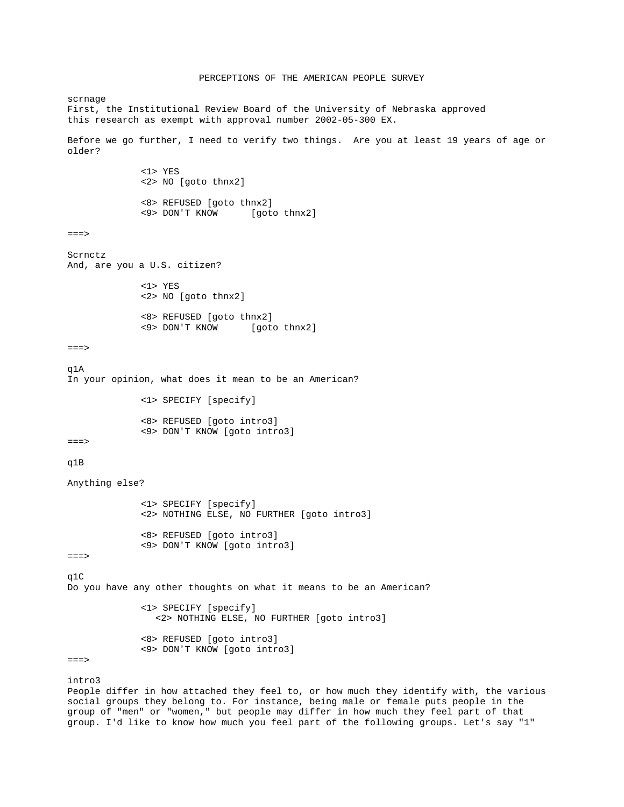```
PERCEPTIONS OF THE AMERICAN PEOPLE SURVEY 
scrnage 
First, the Institutional Review Board of the University of Nebraska approved 
this research as exempt with approval number 2002-05-300 EX. 
Before we go further, I need to verify two things. Are you at least 19 years of age or 
older? 
               <1> YES 
               <2> NO [goto thnx2] 
               <8> REFUSED [goto thnx2] 
                                 [goto thnx2]
===> 
Scrnctz 
And, are you a U.S. citizen? 
               <1> YES 
               <2> NO [goto thnx2] 
               <8> REFUSED [goto thnx2] 
              <9> DON'T KNOW
==->\alpha1A
In your opinion, what does it mean to be an American? 
               <1> SPECIFY [specify] 
               <8> REFUSED [goto intro3] 
               <9> DON'T KNOW [goto intro3] 
==->q1B 
Anything else? 
               <1> SPECIFY [specify] 
               <2> NOTHING ELSE, NO FURTHER [goto intro3] 
               <8> REFUSED [goto intro3] 
               <9> DON'T KNOW [goto intro3] 
===> 
q1C 
Do you have any other thoughts on what it means to be an American? 
               <1> SPECIFY [specify] 
                 <2> NOTHING ELSE, NO FURTHER [goto intro3] 
               <8> REFUSED [goto intro3] 
               <9> DON'T KNOW [goto intro3] 
==>intro3 
People differ in how attached they feel to, or how much they identify with, the various 
social groups they belong to. For instance, being male or female puts people in the 
group of "men" or "women," but people may differ in how much they feel part of that
```
group. I'd like to know how much you feel part of the following groups. Let's say "1"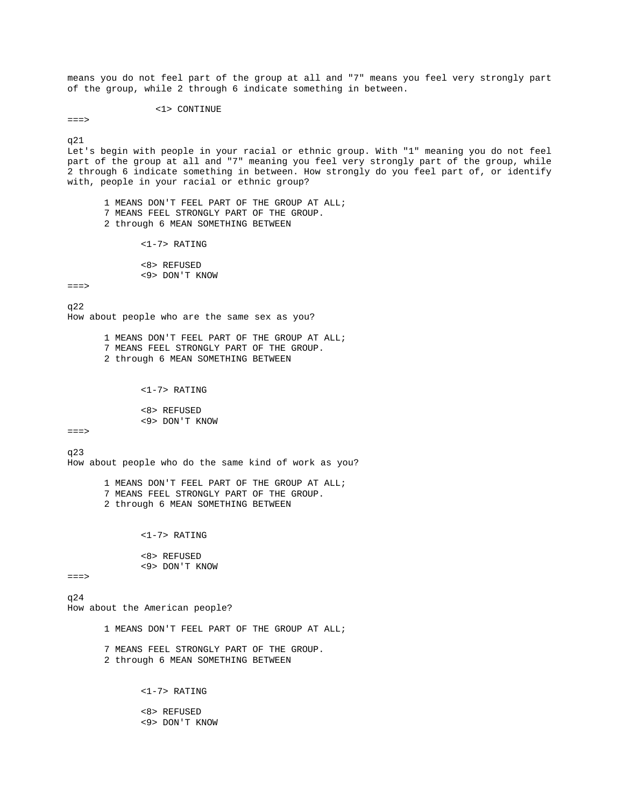means you do not feel part of the group at all and "7" means you feel very strongly part of the group, while 2 through 6 indicate something in between.

<1> CONTINUE

 $==->$ 

q21

Let's begin with people in your racial or ethnic group. With "1" meaning you do not feel part of the group at all and "7" meaning you feel very strongly part of the group, while 2 through 6 indicate something in between. How strongly do you feel part of, or identify with, people in your racial or ethnic group?

 1 MEANS DON'T FEEL PART OF THE GROUP AT ALL; 7 MEANS FEEL STRONGLY PART OF THE GROUP. 2 through 6 MEAN SOMETHING BETWEEN

<1-7> RATING

 <8> REFUSED <9> DON'T KNOW

 $==->$ 

q22 How about people who are the same sex as you?

> 1 MEANS DON'T FEEL PART OF THE GROUP AT ALL; 7 MEANS FEEL STRONGLY PART OF THE GROUP. 2 through 6 MEAN SOMETHING BETWEEN

> > <1-7> RATING

 <8> REFUSED <9> DON'T KNOW

 $=$  $=$  $>$ 

q23

How about people who do the same kind of work as you?

 1 MEANS DON'T FEEL PART OF THE GROUP AT ALL; 7 MEANS FEEL STRONGLY PART OF THE GROUP. 2 through 6 MEAN SOMETHING BETWEEN

<1-7> RATING

 <8> REFUSED <9> DON'T KNOW

 $==->$ 

 $q24$ How about the American people?

1 MEANS DON'T FEEL PART OF THE GROUP AT ALL;

 7 MEANS FEEL STRONGLY PART OF THE GROUP. 2 through 6 MEAN SOMETHING BETWEEN

<1-7> RATING

 <8> REFUSED <9> DON'T KNOW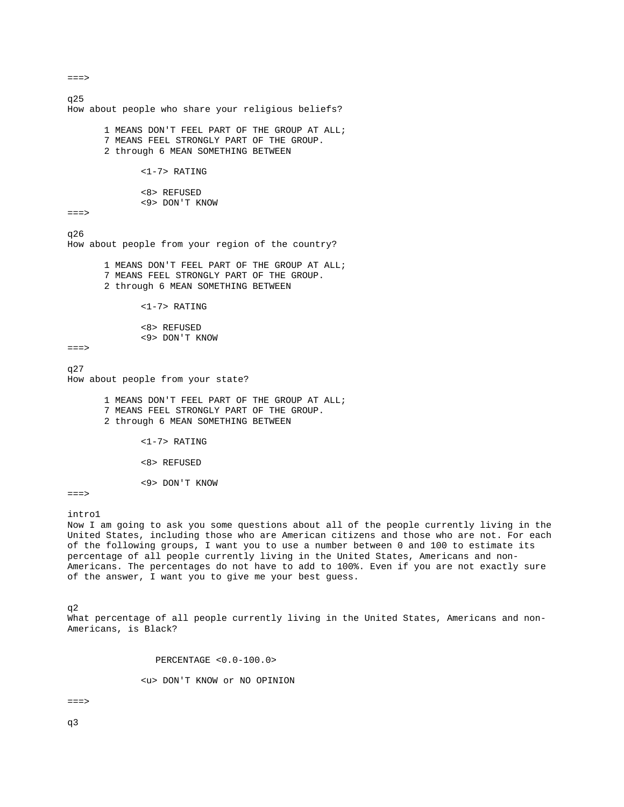q25 How about people who share your religious beliefs? 1 MEANS DON'T FEEL PART OF THE GROUP AT ALL; 7 MEANS FEEL STRONGLY PART OF THE GROUP. 2 through 6 MEAN SOMETHING BETWEEN <1-7> RATING <8> REFUSED <9> DON'T KNOW  $==->$ q26 How about people from your region of the country? 1 MEANS DON'T FEEL PART OF THE GROUP AT ALL; 7 MEANS FEEL STRONGLY PART OF THE GROUP. 2 through 6 MEAN SOMETHING BETWEEN <1-7> RATING <8> REFUSED <9> DON'T KNOW  $==->$  $q27$ How about people from your state? 1 MEANS DON'T FEEL PART OF THE GROUP AT ALL; 7 MEANS FEEL STRONGLY PART OF THE GROUP. 2 through 6 MEAN SOMETHING BETWEEN <1-7> RATING <8> REFUSED <9> DON'T KNOW  $==->$ intro1 Now I am going to ask you some questions about all of the people currently living in the United States, including those who are American citizens and those who are not. For each of the following groups, I want you to use a number between 0 and 100 to estimate its percentage of all people currently living in the United States, Americans and non-

q2 What percentage of all people currently living in the United States, Americans and non-Americans, is Black?

Americans. The percentages do not have to add to 100%. Even if you are not exactly sure

PERCENTAGE <0.0-100.0>

of the answer, I want you to give me your best guess.

<u> DON'T KNOW or NO OPINION

===>

q3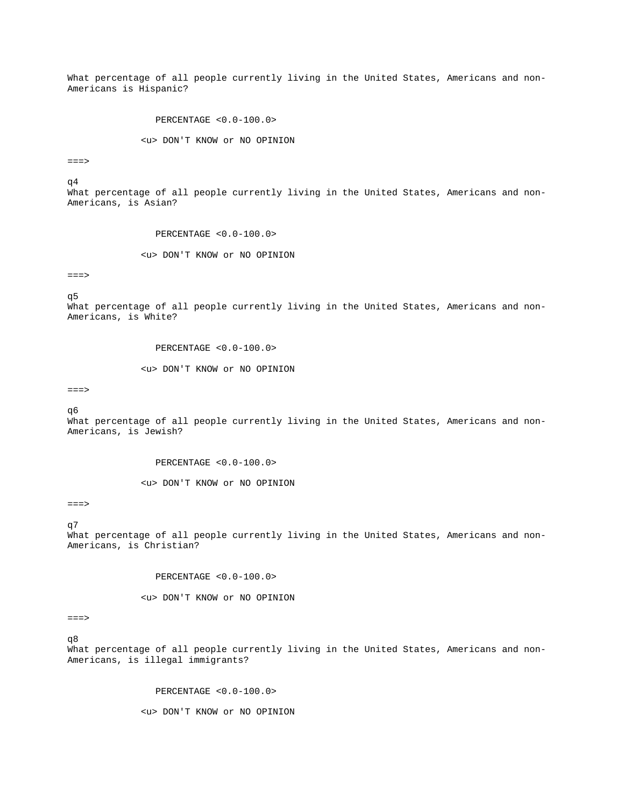What percentage of all people currently living in the United States, Americans and non-Americans is Hispanic?

PERCENTAGE <0.0-100.0>

<u> DON'T KNOW or NO OPINION

 $=$  $=$  $>$ 

q4

What percentage of all people currently living in the United States, Americans and non-Americans, is Asian?

PERCENTAGE <0.0-100.0>

<u> DON'T KNOW or NO OPINION

===>

q5

What percentage of all people currently living in the United States, Americans and non-Americans, is White?

PERCENTAGE <0.0-100.0>

<u> DON'T KNOW or NO OPINION

===>

q6

What percentage of all people currently living in the United States, Americans and non-Americans, is Jewish?

PERCENTAGE <0.0-100.0>

<u> DON'T KNOW or NO OPINION

 $==->$ 

q7 What percentage of all people currently living in the United States, Americans and non-Americans, is Christian?

PERCENTAGE <0.0-100.0>

<u> DON'T KNOW or NO OPINION

===>

q8

What percentage of all people currently living in the United States, Americans and non-Americans, is illegal immigrants?

PERCENTAGE <0.0-100.0>

<u> DON'T KNOW or NO OPINION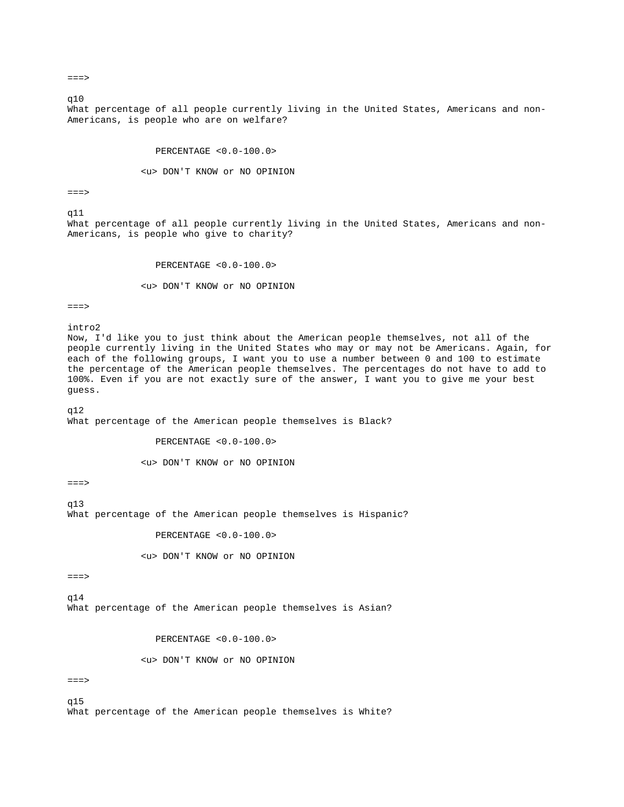$==->$ 

q10

What percentage of all people currently living in the United States, Americans and non-Americans, is people who are on welfare?

PERCENTAGE <0.0-100.0>

<u> DON'T KNOW or NO OPINION

 $===>$ 

 $q11$ 

What percentage of all people currently living in the United States, Americans and non-Americans, is people who give to charity?

PERCENTAGE <0.0-100.0>

<u> DON'T KNOW or NO OPINION

 $==->$ 

intro2

Now, I'd like you to just think about the American people themselves, not all of the people currently living in the United States who may or may not be Americans. Again, for each of the following groups, I want you to use a number between 0 and 100 to estimate the percentage of the American people themselves. The percentages do not have to add to 100%. Even if you are not exactly sure of the answer, I want you to give me your best guess.

q12

What percentage of the American people themselves is Black?

PERCENTAGE <0.0-100.0>

<u> DON'T KNOW or NO OPINION

 $==->$ 

q13

What percentage of the American people themselves is Hispanic?

PERCENTAGE <0.0-100.0>

<u> DON'T KNOW or NO OPINION

===>

q14 What percentage of the American people themselves is Asian?

PERCENTAGE <0.0-100.0>

<u> DON'T KNOW or NO OPINION

 $==->$ 

q15 What percentage of the American people themselves is White?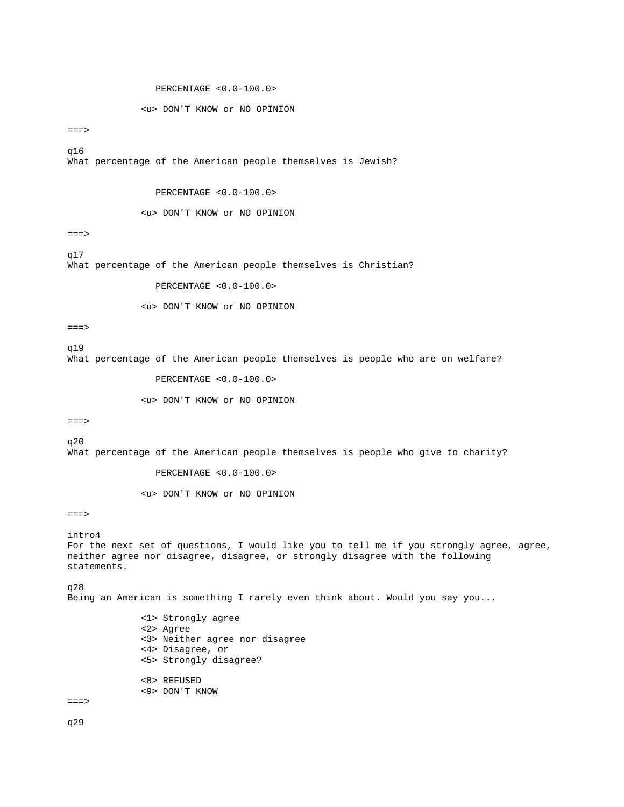# PERCENTAGE <0.0-100.0>

### <u> DON'T KNOW or NO OPINION

 $==->$ 

q16

What percentage of the American people themselves is Jewish?

## PERCENTAGE <0.0-100.0>

## <u> DON'T KNOW or NO OPINION

===>

q17 What percentage of the American people themselves is Christian?

# PERCENTAGE <0.0-100.0>

<u> DON'T KNOW or NO OPINION

 $==->$ 

q19

What percentage of the American people themselves is people who are on welfare?

PERCENTAGE <0.0-100.0>

### <u> DON'T KNOW or NO OPINION

===>

q20

What percentage of the American people themselves is people who give to charity?

PERCENTAGE <0.0-100.0>

<u> DON'T KNOW or NO OPINION

===>

# intro4

For the next set of questions, I would like you to tell me if you strongly agree, agree, neither agree nor disagree, disagree, or strongly disagree with the following statements.

q28

Being an American is something I rarely even think about. Would you say you...

 <1> Strongly agree <2> Agree <3> Neither agree nor disagree <4> Disagree, or <5> Strongly disagree? <8> REFUSED <9> DON'T KNOW

===>

q29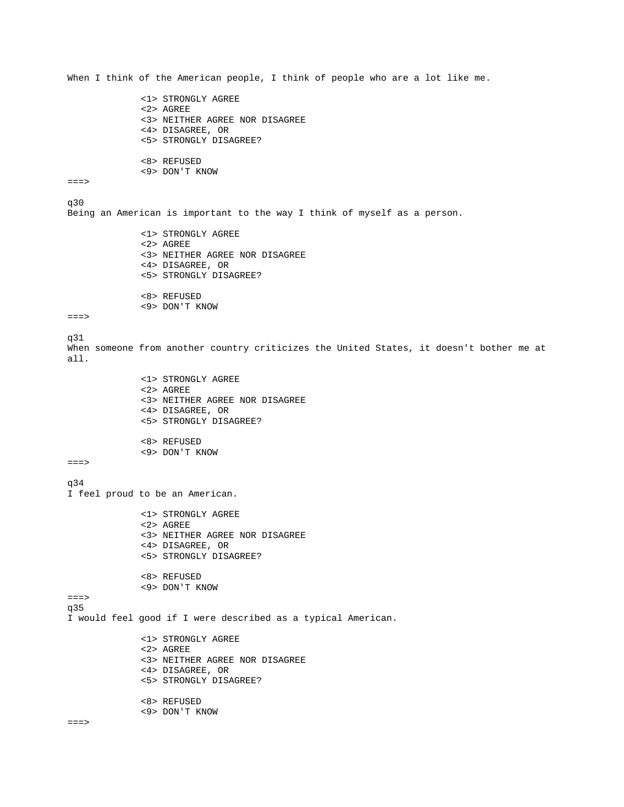When I think of the American people, I think of people who are a lot like me. <1> STRONGLY AGREE <2> AGREE <3> NEITHER AGREE NOR DISAGREE <4> DISAGREE, OR <5> STRONGLY DISAGREE? <8> REFUSED <9> DON'T KNOW  $==->$ q30 Being an American is important to the way I think of myself as a person. <1> STRONGLY AGREE <2> AGREE <3> NEITHER AGREE NOR DISAGREE <4> DISAGREE, OR <5> STRONGLY DISAGREE? <8> REFUSED <9> DON'T KNOW  $==->$ q31 When someone from another country criticizes the United States, it doesn't bother me at all. <1> STRONGLY AGREE <2> AGREE <3> NEITHER AGREE NOR DISAGREE <4> DISAGREE, OR <5> STRONGLY DISAGREE? <8> REFUSED <9> DON'T KNOW  $==->$ q34 I feel proud to be an American. <1> STRONGLY AGREE <2> AGREE <3> NEITHER AGREE NOR DISAGREE <4> DISAGREE, OR <5> STRONGLY DISAGREE? <8> REFUSED <9> DON'T KNOW ===> q35 I would feel good if I were described as a typical American. <1> STRONGLY AGREE <2> AGREE <3> NEITHER AGREE NOR DISAGREE <4> DISAGREE, OR <5> STRONGLY DISAGREE? <8> REFUSED <9> DON'T KNOW  $==->$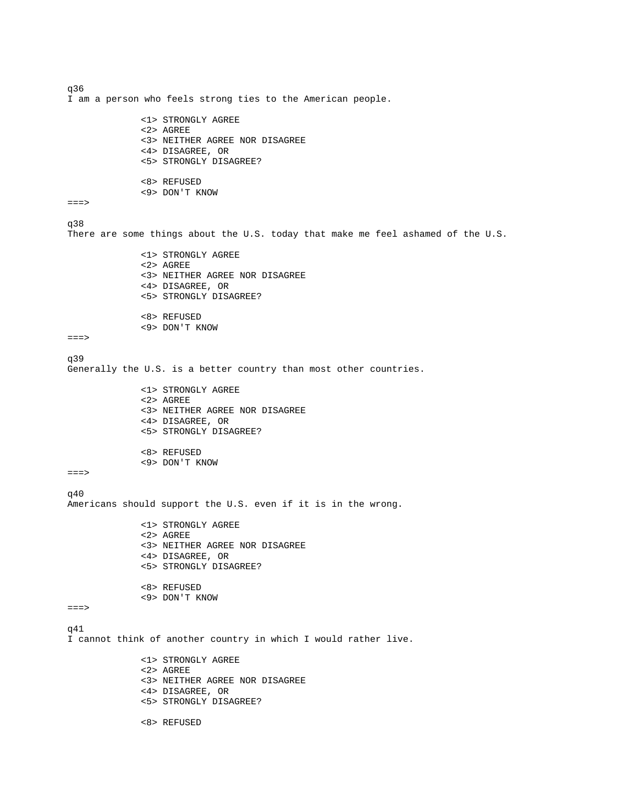```
q36 
I am a person who feels strong ties to the American people. 
               <1> STRONGLY AGREE 
               <2> AGREE 
               <3> NEITHER AGREE NOR DISAGREE 
               <4> DISAGREE, OR 
               <5> STRONGLY DISAGREE? 
               <8> REFUSED 
               <9> DON'T KNOW 
==>q38 
There are some things about the U.S. today that make me feel ashamed of the U.S. 
               <1> STRONGLY AGREE 
               <2> AGREE 
               <3> NEITHER AGREE NOR DISAGREE 
               <4> DISAGREE, OR 
               <5> STRONGLY DISAGREE? 
               <8> REFUSED 
               <9> DON'T KNOW 
===> 
q39 
Generally the U.S. is a better country than most other countries. 
               <1> STRONGLY AGREE 
               <2> AGREE 
               <3> NEITHER AGREE NOR DISAGREE 
               <4> DISAGREE, OR 
               <5> STRONGLY DISAGREE? 
               <8> REFUSED 
               <9> DON'T KNOW 
==->q40 
Americans should support the U.S. even if it is in the wrong. 
               <1> STRONGLY AGREE 
               <2> AGREE 
               <3> NEITHER AGREE NOR DISAGREE 
               <4> DISAGREE, OR 
               <5> STRONGLY DISAGREE? 
               <8> REFUSED 
               <9> DON'T KNOW 
===> 
q41 
I cannot think of another country in which I would rather live. 
               <1> STRONGLY AGREE 
               <2> AGREE 
               <3> NEITHER AGREE NOR DISAGREE 
               <4> DISAGREE, OR 
               <5> STRONGLY DISAGREE? 
               <8> REFUSED
```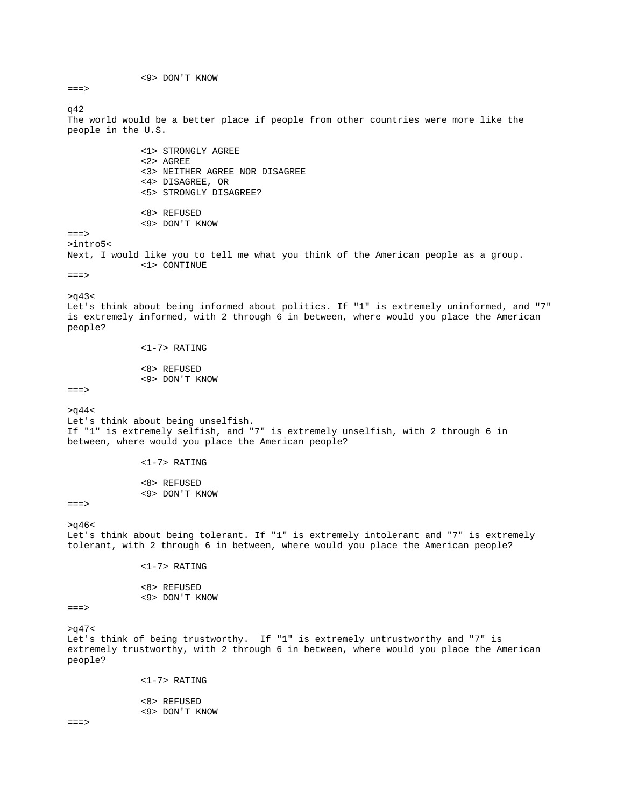<9> DON'T KNOW  $==->$ q42 The world would be a better place if people from other countries were more like the people in the U.S. <1> STRONGLY AGREE <2> AGREE <3> NEITHER AGREE NOR DISAGREE <4> DISAGREE, OR <5> STRONGLY DISAGREE? <8> REFUSED <9> DON'T KNOW  $==->$ >intro5< Next, I would like you to tell me what you think of the American people as a group. <1> CONTINUE ===>  $>q43<$ Let's think about being informed about politics. If "1" is extremely uninformed, and "7" is extremely informed, with 2 through 6 in between, where would you place the American people? <1-7> RATING <8> REFUSED <9> DON'T KNOW ===>  $>q44<$ Let's think about being unselfish. If "1" is extremely selfish, and "7" is extremely unselfish, with 2 through 6 in between, where would you place the American people? <1-7> RATING <8> REFUSED <9> DON'T KNOW  $==->$  $>$  $q46<$ Let's think about being tolerant. If "1" is extremely intolerant and "7" is extremely tolerant, with 2 through 6 in between, where would you place the American people? <1-7> RATING <8> REFUSED <9> DON'T KNOW ===>  $>q47<$ Let's think of being trustworthy. If "1" is extremely untrustworthy and "7" is extremely trustworthy, with 2 through 6 in between, where would you place the American people? <1-7> RATING <8> REFUSED <9> DON'T KNOW  $=$ = $\geq$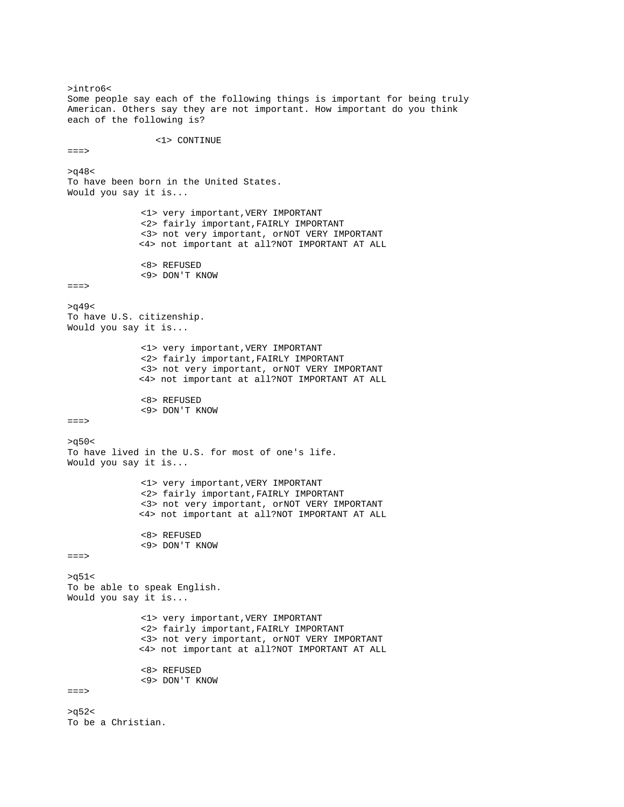>intro6< Some people say each of the following things is important for being truly American. Others say they are not important. How important do you think each of the following is? <1> CONTINUE  $==->$  $>q48<$ To have been born in the United States. Would you say it is... <1> very important,VERY IMPORTANT <2> fairly important,FAIRLY IMPORTANT <3> not very important, orNOT VERY IMPORTANT <4> not important at all?NOT IMPORTANT AT ALL <8> REFUSED <9> DON'T KNOW  $==->$  $>q49<$ To have U.S. citizenship. Would you say it is... <1> very important,VERY IMPORTANT <2> fairly important,FAIRLY IMPORTANT <3> not very important, orNOT VERY IMPORTANT <4> not important at all?NOT IMPORTANT AT ALL <8> REFUSED <9> DON'T KNOW ===>  $>q50<$ To have lived in the U.S. for most of one's life. Would you say it is... <1> very important,VERY IMPORTANT <2> fairly important,FAIRLY IMPORTANT <3> not very important, orNOT VERY IMPORTANT <4> not important at all?NOT IMPORTANT AT ALL <8> REFUSED <9> DON'T KNOW ===>  $>q51<$ To be able to speak English. Would you say it is... <1> very important,VERY IMPORTANT <2> fairly important,FAIRLY IMPORTANT <3> not very important, orNOT VERY IMPORTANT <4> not important at all?NOT IMPORTANT AT ALL <8> REFUSED <9> DON'T KNOW ===>  $>q52<$ To be a Christian.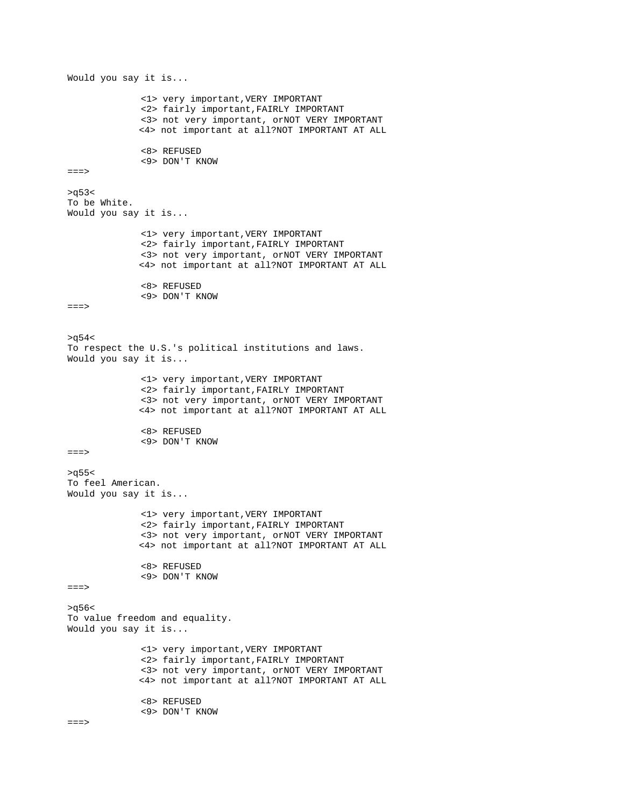Would you say it is... <1> very important,VERY IMPORTANT <2> fairly important,FAIRLY IMPORTANT <3> not very important, orNOT VERY IMPORTANT <4> not important at all?NOT IMPORTANT AT ALL <8> REFUSED <9> DON'T KNOW ===>  $>q53<$ To be White. Would you say it is... <1> very important,VERY IMPORTANT <2> fairly important,FAIRLY IMPORTANT <3> not very important, orNOT VERY IMPORTANT <4> not important at all?NOT IMPORTANT AT ALL <8> REFUSED <9> DON'T KNOW  $==->$  $>q54<$ To respect the U.S.'s political institutions and laws. Would you say it is... <1> very important,VERY IMPORTANT <2> fairly important,FAIRLY IMPORTANT <3> not very important, orNOT VERY IMPORTANT <4> not important at all?NOT IMPORTANT AT ALL <8> REFUSED <9> DON'T KNOW ===>  $>q55<$ To feel American. Would you say it is... <1> very important,VERY IMPORTANT <2> fairly important,FAIRLY IMPORTANT <3> not very important, orNOT VERY IMPORTANT <4> not important at all?NOT IMPORTANT AT ALL <8> REFUSED <9> DON'T KNOW  $==->$  $>q56<$ To value freedom and equality. Would you say it is... <1> very important,VERY IMPORTANT <2> fairly important,FAIRLY IMPORTANT <3> not very important, orNOT VERY IMPORTANT <4> not important at all?NOT IMPORTANT AT ALL <8> REFUSED <9> DON'T KNOW  $=$ = $=$ >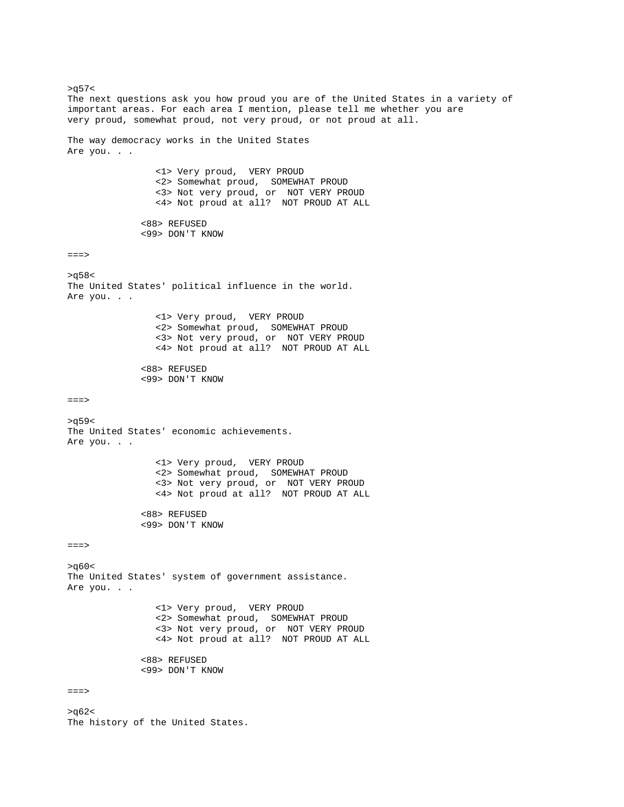$>q57<$ The next questions ask you how proud you are of the United States in a variety of important areas. For each area I mention, please tell me whether you are very proud, somewhat proud, not very proud, or not proud at all. The way democracy works in the United States Are you. . . <1> Very proud, VERY PROUD <2> Somewhat proud, SOMEWHAT PROUD <3> Not very proud, or NOT VERY PROUD <4> Not proud at all? NOT PROUD AT ALL <88> REFUSED <99> DON'T KNOW  $==->$  $>q58<$ The United States' political influence in the world. Are you. . . <1> Very proud, VERY PROUD <2> Somewhat proud, SOMEWHAT PROUD <3> Not very proud, or NOT VERY PROUD <4> Not proud at all? NOT PROUD AT ALL <88> REFUSED <99> DON'T KNOW ===> >q59< The United States' economic achievements. Are you. . . <1> Very proud, VERY PROUD <2> Somewhat proud, SOMEWHAT PROUD <3> Not very proud, or NOT VERY PROUD <4> Not proud at all? NOT PROUD AT ALL <88> REFUSED <99> DON'T KNOW ===> >q60< The United States' system of government assistance. Are you. . . <1> Very proud, VERY PROUD <2> Somewhat proud, SOMEWHAT PROUD <3> Not very proud, or NOT VERY PROUD <4> Not proud at all? NOT PROUD AT ALL <88> REFUSED <99> DON'T KNOW ===> >q62<

The history of the United States.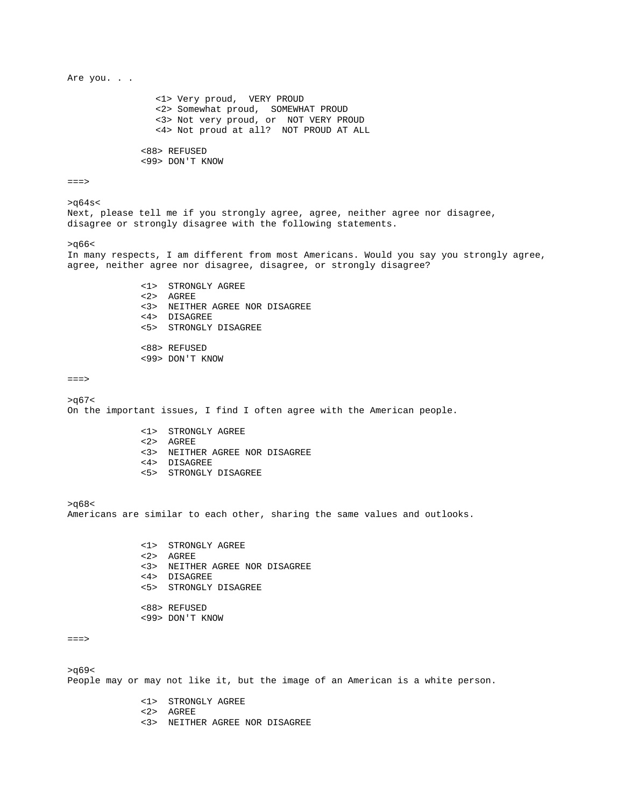Are you. . . <1> Very proud, VERY PROUD <2> Somewhat proud, SOMEWHAT PROUD <3> Not very proud, or NOT VERY PROUD <4> Not proud at all? NOT PROUD AT ALL <88> REFUSED <99> DON'T KNOW  $==->$  $>q64s<$ Next, please tell me if you strongly agree, agree, neither agree nor disagree, disagree or strongly disagree with the following statements.  $>q66<$ In many respects, I am different from most Americans. Would you say you strongly agree, agree, neither agree nor disagree, disagree, or strongly disagree? <1> STRONGLY AGREE <2> AGREE <3> NEITHER AGREE NOR DISAGREE <4> DISAGREE <5> STRONGLY DISAGREE <88> REFUSED <99> DON'T KNOW  $==->$  $>q67<$ On the important issues, I find I often agree with the American people. <1> STRONGLY AGREE <2> AGREE <3> NEITHER AGREE NOR DISAGREE <4> DISAGREE <5> STRONGLY DISAGREE >q68< Americans are similar to each other, sharing the same values and outlooks. <1> STRONGLY AGREE <2> AGREE <3> NEITHER AGREE NOR DISAGREE <4> DISAGREE <5> STRONGLY DISAGREE <88> REFUSED <99> DON'T KNOW  $=$  $=$  $>$  $>q69<$ People may or may not like it, but the image of an American is a white person. <1> STRONGLY AGREE <2> AGREE <3> NEITHER AGREE NOR DISAGREE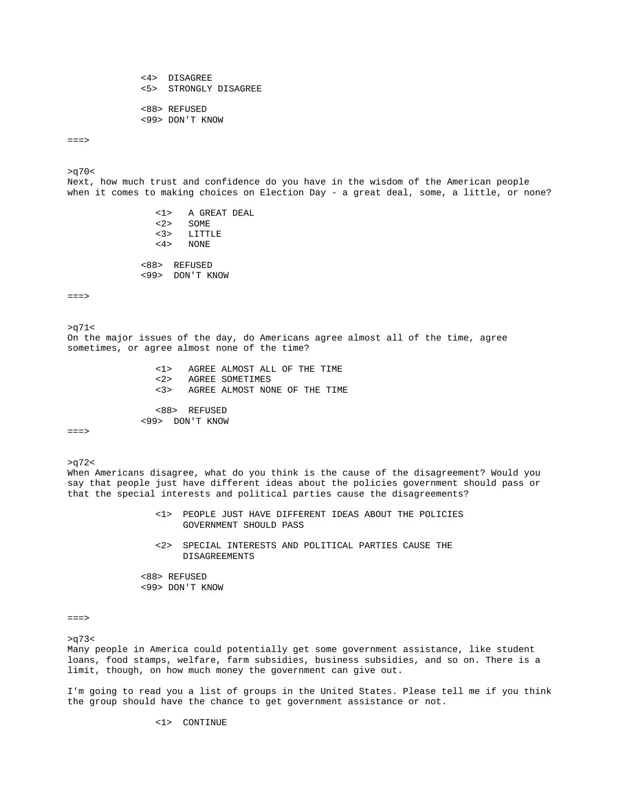<4> DISAGREE <5> STRONGLY DISAGREE <88> REFUSED <99> DON'T KNOW

 $==->$ 

 $>q70<$ Next, how much trust and confidence do you have in the wisdom of the American people when it comes to making choices on Election Day - a great deal, some, a little, or none?

> <1> A GREAT DEAL <2> SOME LITTLE <4> NONE <88> REFUSED <99> DON'T KNOW

 $==->$ 

 $>q71$ On the major issues of the day, do Americans agree almost all of the time, agree sometimes, or agree almost none of the time?

> <1> AGREE ALMOST ALL OF THE TIME AGREE SOMETIMES <3> AGREE ALMOST NONE OF THE TIME <88> REFUSED

 $=$  $=$  $>$ 

 $>q72$ When Americans disagree, what do you think is the cause of the disagreement? Would you say that people just have different ideas about the policies government should pass or that the special interests and political parties cause the disagreements?

- <1> PEOPLE JUST HAVE DIFFERENT IDEAS ABOUT THE POLICIES GOVERNMENT SHOULD PASS
- <2> SPECIAL INTERESTS AND POLITICAL PARTIES CAUSE THE DISAGREEMENTS

 <88> REFUSED <99> DON'T KNOW

<99> DON'T KNOW

===>

>q73<

Many people in America could potentially get some government assistance, like student loans, food stamps, welfare, farm subsidies, business subsidies, and so on. There is a limit, though, on how much money the government can give out.

I'm going to read you a list of groups in the United States. Please tell me if you think the group should have the chance to get government assistance or not.

<1> CONTINUE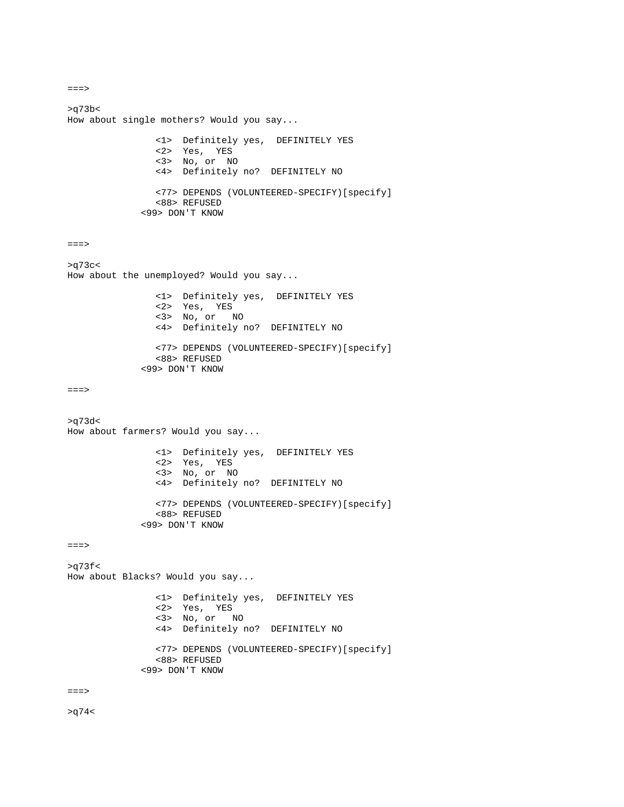```
===> 
>q73b< 
How about single mothers? Would you say... 
 <1> Definitely yes, DEFINITELY YES 
 <2> Yes, YES 
 <3> No, or NO 
               <4> Definitely no? DEFINITELY NO 
               <77> DEPENDS (VOLUNTEERED-SPECIFY)[specify] 
               <88> REFUSED 
            <99> DON'T KNOW 
==->>q73c< 
How about the unemployed? Would you say... 
               <1> Definitely yes, DEFINITELY YES 
 <2> Yes, YES 
 <3> No, or NO 
 <4> Definitely no? DEFINITELY NO 
               <77> DEPENDS (VOLUNTEERED-SPECIFY)[specify] 
               <88> REFUSED 
            <99> DON'T KNOW 
===> 
>q73d< 
How about farmers? Would you say... 
 <1> Definitely yes, DEFINITELY YES 
 <2> Yes, YES 
 <3> No, or NO 
               <4> Definitely no? DEFINITELY NO 
               <77> DEPENDS (VOLUNTEERED-SPECIFY)[specify] 
               <88> REFUSED 
            <99> DON'T KNOW 
===> 
>q73fHow about Blacks? Would you say... 
               <1> Definitely yes, DEFINITELY YES 
 <2> Yes, YES 
 <3> No, or NO 
               <4> Definitely no? DEFINITELY NO 
               <77> DEPENDS (VOLUNTEERED-SPECIFY)[specify] 
               <88> REFUSED 
            <99> DON'T KNOW 
===>
```
 $>q74$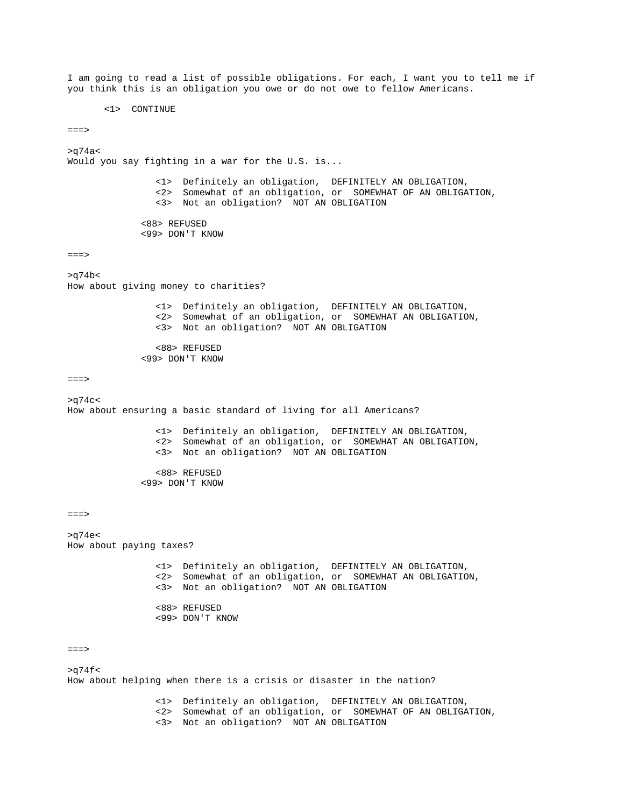I am going to read a list of possible obligations. For each, I want you to tell me if you think this is an obligation you owe or do not owe to fellow Americans.

<1> CONTINUE

 $==->$ 

 $>q74a<$ Would you say fighting in a war for the U.S. is... <1> Definitely an obligation, DEFINITELY AN OBLIGATION, <2> Somewhat of an obligation, or SOMEWHAT OF AN OBLIGATION, <3> Not an obligation? NOT AN OBLIGATION <88> REFUSED <99> DON'T KNOW  $==->$ >q74b< How about giving money to charities? <1> Definitely an obligation, DEFINITELY AN OBLIGATION, <2> Somewhat of an obligation, or SOMEWHAT AN OBLIGATION, <3> Not an obligation? NOT AN OBLIGATION <88> REFUSED <99> DON'T KNOW  $==->$  $>q74c<$ How about ensuring a basic standard of living for all Americans? <1> Definitely an obligation, DEFINITELY AN OBLIGATION, <2> Somewhat of an obligation, or SOMEWHAT AN OBLIGATION, <3> Not an obligation? NOT AN OBLIGATION <88> REFUSED <99> DON'T KNOW  $==->$ >q74e< How about paying taxes? <1> Definitely an obligation, DEFINITELY AN OBLIGATION, <2> Somewhat of an obligation, or SOMEWHAT AN OBLIGATION, <3> Not an obligation? NOT AN OBLIGATION <88> REFUSED <99> DON'T KNOW

 $==->$ 

 $>q74f$ How about helping when there is a crisis or disaster in the nation?

> <1> Definitely an obligation, DEFINITELY AN OBLIGATION, <2> Somewhat of an obligation, or SOMEWHAT OF AN OBLIGATION, <3> Not an obligation? NOT AN OBLIGATION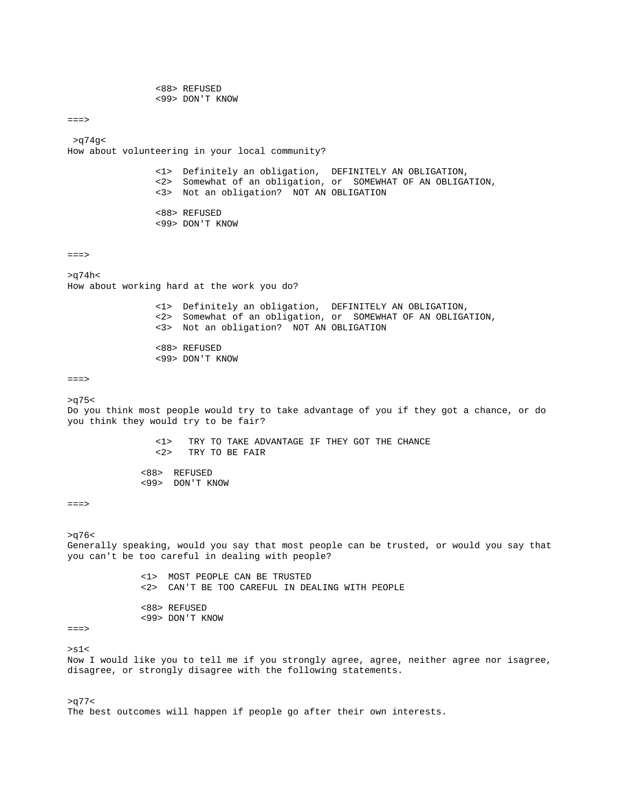<88> REFUSED <99> DON'T KNOW

 $==->$ 

 >q74g< How about volunteering in your local community?

 <1> Definitely an obligation, DEFINITELY AN OBLIGATION, <2> Somewhat of an obligation, or SOMEWHAT OF AN OBLIGATION, <3> Not an obligation? NOT AN OBLIGATION <88> REFUSED

<99> DON'T KNOW

 $==->$ 

 $>q74h<$ How about working hard at the work you do?

 <1> Definitely an obligation, DEFINITELY AN OBLIGATION, <2> Somewhat of an obligation, or SOMEWHAT OF AN OBLIGATION, <3> Not an obligation? NOT AN OBLIGATION

> <88> REFUSED <99> DON'T KNOW

 $==->$ 

 $>q75<$ 

Do you think most people would try to take advantage of you if they got a chance, or do you think they would try to be fair?

> <1> TRY TO TAKE ADVANTAGE IF THEY GOT THE CHANCE TRY TO BE FAIR

 <88> REFUSED <99> DON'T KNOW

 $==->$ 

 $>q76<$ 

Generally speaking, would you say that most people can be trusted, or would you say that you can't be too careful in dealing with people?

> <1> MOST PEOPLE CAN BE TRUSTED <2> CAN'T BE TOO CAREFUL IN DEALING WITH PEOPLE <88> REFUSED

<99> DON'T KNOW

```
===>
```
 $>$ s1 $<$ 

Now I would like you to tell me if you strongly agree, agree, neither agree nor isagree, disagree, or strongly disagree with the following statements.

 $>q77$ The best outcomes will happen if people go after their own interests.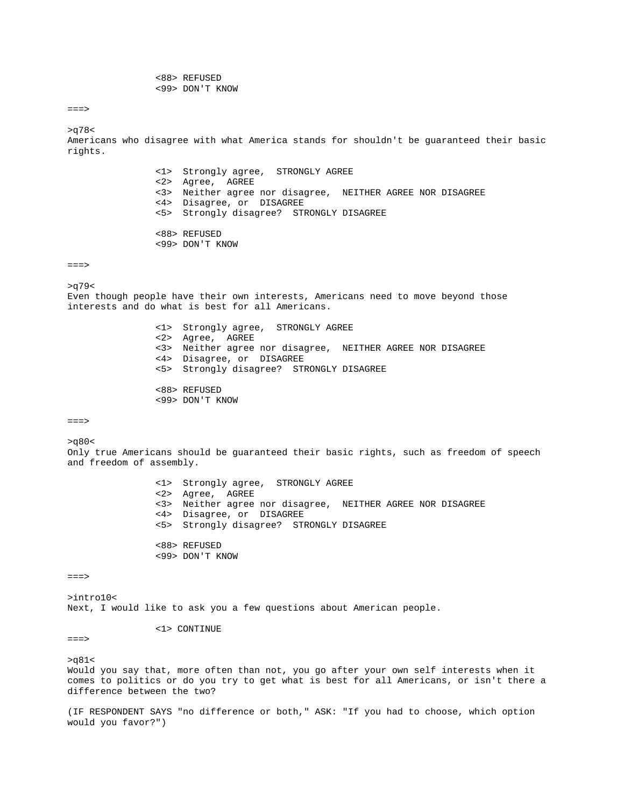<88> REFUSED <99> DON'T KNOW

 $==->$ 

>q78< Americans who disagree with what America stands for shouldn't be guaranteed their basic rights. <1> Strongly agree, STRONGLY AGREE

 <2> Agree, AGREE <3> Neither agree nor disagree, NEITHER AGREE NOR DISAGREE <4> Disagree, or DISAGREE <5> Strongly disagree? STRONGLY DISAGREE

 <88> REFUSED <99> DON'T KNOW

 $==->$ 

>q79<

Even though people have their own interests, Americans need to move beyond those interests and do what is best for all Americans.

> <1> Strongly agree, STRONGLY AGREE <2> Agree, AGREE <3> Neither agree nor disagree, NEITHER AGREE NOR DISAGREE <4> Disagree, or DISAGREE <5> Strongly disagree? STRONGLY DISAGREE <88> REFUSED

<99> DON'T KNOW

===>

 $>q80<$ 

Only true Americans should be guaranteed their basic rights, such as freedom of speech and freedom of assembly.

> <1> Strongly agree, STRONGLY AGREE <2> Agree, AGREE <3> Neither agree nor disagree, NEITHER AGREE NOR DISAGREE <4> Disagree, or DISAGREE <5> Strongly disagree? STRONGLY DISAGREE <88> REFUSED

 $==->$ 

>intro10< Next, I would like to ask you a few questions about American people.

<1> CONTINUE

<99> DON'T KNOW

===>

>q81< Would you say that, more often than not, you go after your own self interests when it comes to politics or do you try to get what is best for all Americans, or isn't there a difference between the two?

(IF RESPONDENT SAYS "no difference or both," ASK: "If you had to choose, which option would you favor?")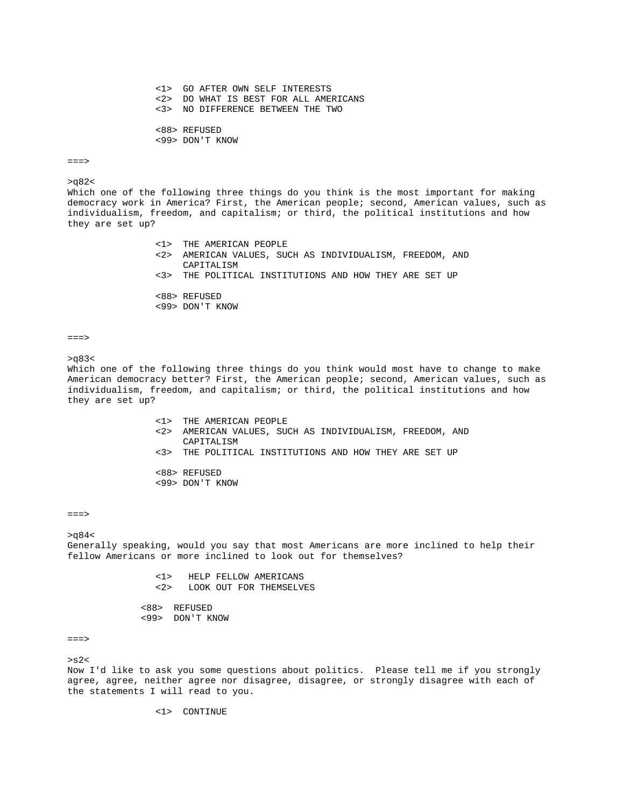<1> GO AFTER OWN SELF INTERESTS <2> DO WHAT IS BEST FOR ALL AMERICANS <3> NO DIFFERENCE BETWEEN THE TWO <88> REFUSED <99> DON'T KNOW

### $==->$

#### $>q82<$

Which one of the following three things do you think is the most important for making democracy work in America? First, the American people; second, American values, such as individualism, freedom, and capitalism; or third, the political institutions and how they are set up?

> <1> THE AMERICAN PEOPLE <2> AMERICAN VALUES, SUCH AS INDIVIDUALISM, FREEDOM, AND CAPITALISM <3> THE POLITICAL INSTITUTIONS AND HOW THEY ARE SET UP

 <88> REFUSED <99> DON'T KNOW

===>  $>\alpha$ 83<

Which one of the following three things do you think would most have to change to make American democracy better? First, the American people; second, American values, such as individualism, freedom, and capitalism; or third, the political institutions and how they are set up?

- <1> THE AMERICAN PEOPLE <2> AMERICAN VALUES, SUCH AS INDIVIDUALISM, FREEDOM, AND CAPITALISM <3> THE POLITICAL INSTITUTIONS AND HOW THEY ARE SET UP <88> REFUSED
- <99> DON'T KNOW

 $==->$ 

 $>\alpha$ 84<

Generally speaking, would you say that most Americans are more inclined to help their fellow Americans or more inclined to look out for themselves?

> <1> HELP FELLOW AMERICANS LOOK OUT FOR THEMSELVES

 <88> REFUSED <99> DON'T KNOW

 $=$  $=$  $>$ 

 $> s2<$ Now I'd like to ask you some questions about politics. Please tell me if you strongly agree, agree, neither agree nor disagree, disagree, or strongly disagree with each of the statements I will read to you.

<1> CONTINUE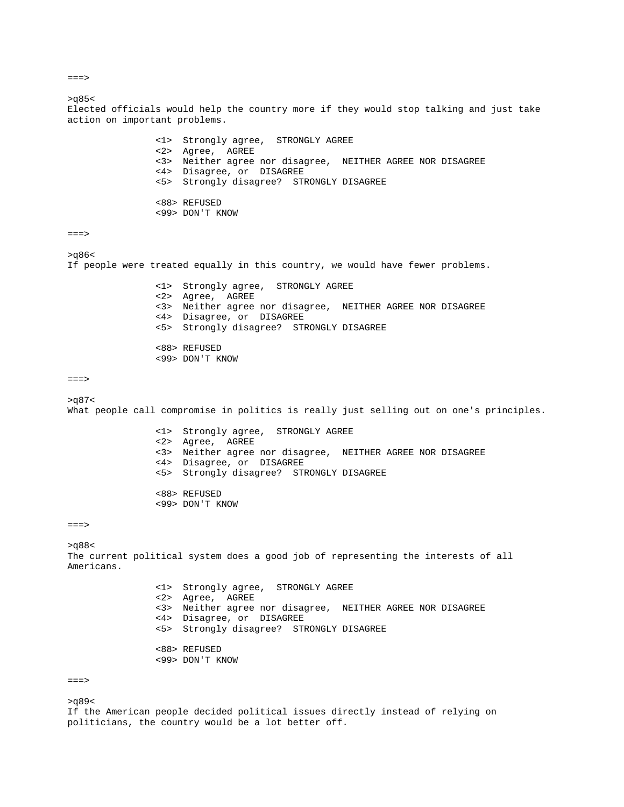$>q85<$ Elected officials would help the country more if they would stop talking and just take action on important problems. <1> Strongly agree, STRONGLY AGREE <2> Agree, AGREE <3> Neither agree nor disagree, NEITHER AGREE NOR DISAGREE <4> Disagree, or DISAGREE <5> Strongly disagree? STRONGLY DISAGREE <88> REFUSED <99> DON'T KNOW ===>  $>q86<$ If people were treated equally in this country, we would have fewer problems. <1> Strongly agree, STRONGLY AGREE <2> Agree, AGREE <3> Neither agree nor disagree, NEITHER AGREE NOR DISAGREE <4> Disagree, or DISAGREE <5> Strongly disagree? STRONGLY DISAGREE <88> REFUSED <99> DON'T KNOW  $==->$  $>q87<$ What people call compromise in politics is really just selling out on one's principles. <1> Strongly agree, STRONGLY AGREE <2> Agree, AGREE <3> Neither agree nor disagree, NEITHER AGREE NOR DISAGREE <4> Disagree, or DISAGREE <5> Strongly disagree? STRONGLY DISAGREE <88> REFUSED <99> DON'T KNOW  $==->$  $>q88<$ The current political system does a good job of representing the interests of all Americans. <1> Strongly agree, STRONGLY AGREE <2> Agree, AGREE <3> Neither agree nor disagree, NEITHER AGREE NOR DISAGREE <4> Disagree, or DISAGREE <5> Strongly disagree? STRONGLY DISAGREE <88> REFUSED <99> DON'T KNOW ===>  $>q89<$ 

If the American people decided political issues directly instead of relying on politicians, the country would be a lot better off.

 $==->$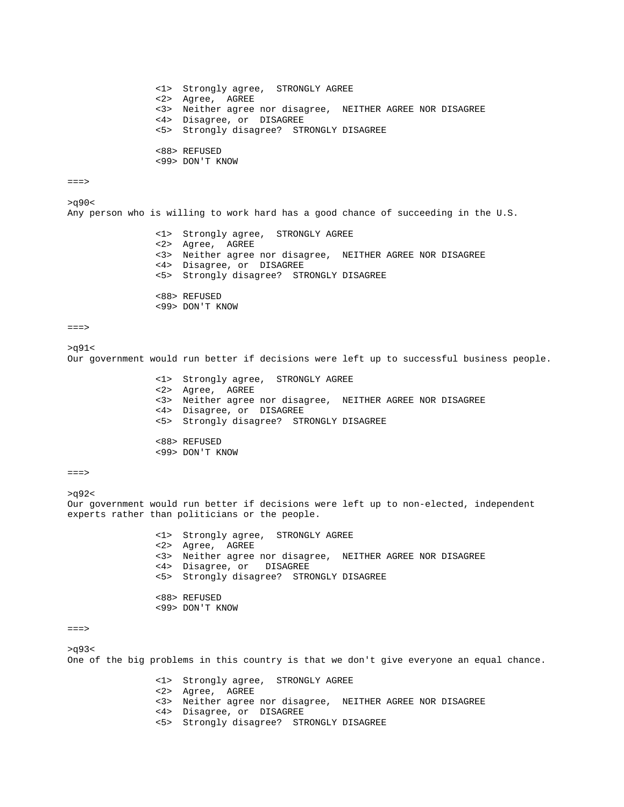```
 <1> Strongly agree, STRONGLY AGREE 
                 <2> Agree, AGREE 
                 <3> Neither agree nor disagree, NEITHER AGREE NOR DISAGREE 
                 <4> Disagree, or DISAGREE 
                 <5> Strongly disagree? STRONGLY DISAGREE 
                 <88> REFUSED 
                 <99> DON'T KNOW 
==->>q90< 
Any person who is willing to work hard has a good chance of succeeding in the U.S. 
                 <1> Strongly agree, STRONGLY AGREE 
                 <2> Agree, AGREE 
                 <3> Neither agree nor disagree, NEITHER AGREE NOR DISAGREE 
                 <4> Disagree, or DISAGREE 
                 <5> Strongly disagree? STRONGLY DISAGREE 
                 <88> REFUSED 
                 <99> DON'T KNOW 
==>>q91< 
Our government would run better if decisions were left up to successful business people. 
                 <1> Strongly agree, STRONGLY AGREE 
                 <2> Agree, AGREE 
                 <3> Neither agree nor disagree, NEITHER AGREE NOR DISAGREE 
                 <4> Disagree, or DISAGREE 
                 <5> Strongly disagree? STRONGLY DISAGREE 
                 <88> REFUSED 
                 <99> DON'T KNOW 
==->>q92< 
Our government would run better if decisions were left up to non-elected, independent 
experts rather than politicians or the people. 
                 <1> Strongly agree, STRONGLY AGREE 
                 <2> Agree, AGREE 
                 <3> Neither agree nor disagree, NEITHER AGREE NOR DISAGREE 
                 <4> Disagree, or DISAGREE 
                 <5> Strongly disagree? STRONGLY DISAGREE 
                 <88> REFUSED 
                 <99> DON'T KNOW 
===> 
>q93< 
One of the big problems in this country is that we don't give everyone an equal chance. 
                 <1> Strongly agree, STRONGLY AGREE 
                 <2> Agree, AGREE 
                 <3> Neither agree nor disagree, NEITHER AGREE NOR DISAGREE 
                 <4> Disagree, or DISAGREE 
                 <5> Strongly disagree? STRONGLY DISAGREE
```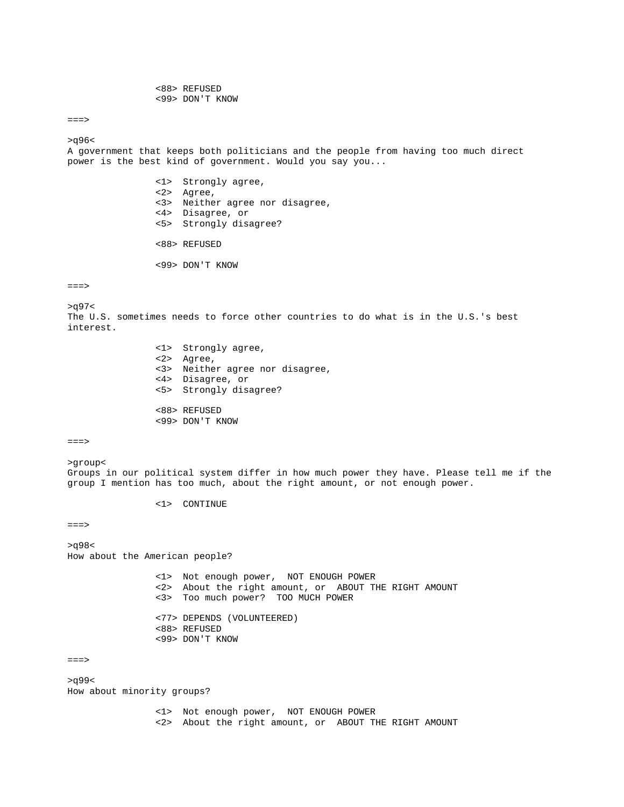<88> REFUSED <99> DON'T KNOW

===>

>q96<

A government that keeps both politicians and the people from having too much direct power is the best kind of government. Would you say you...

> <1> Strongly agree, <2> Agree, <3> Neither agree nor disagree, <4> Disagree, or <5> Strongly disagree? <88> REFUSED

<99> DON'T KNOW

 $==->$ 

>q97<

The U.S. sometimes needs to force other countries to do what is in the U.S.'s best interest.

| <1> Strongly agree,             |
|---------------------------------|
| <2> Agree,                      |
| <3> Neither agree nor disagree, |
| <4> Disagree, or                |
| <5> Strongly disagree?          |
|                                 |
| <88> REFUSED                    |
| <99> DON'T KNOW                 |

===>

>group< Groups in our political system differ in how much power they have. Please tell me if the group I mention has too much, about the right amount, or not enough power.

<1> CONTINUE

===>

>q98< How about the American people?

> <1> Not enough power, NOT ENOUGH POWER <2> About the right amount, or ABOUT THE RIGHT AMOUNT <3> Too much power? TOO MUCH POWER <77> DEPENDS (VOLUNTEERED) <88> REFUSED <99> DON'T KNOW

===>

>q99< How about minority groups?

> <1> Not enough power, NOT ENOUGH POWER <2> About the right amount, or ABOUT THE RIGHT AMOUNT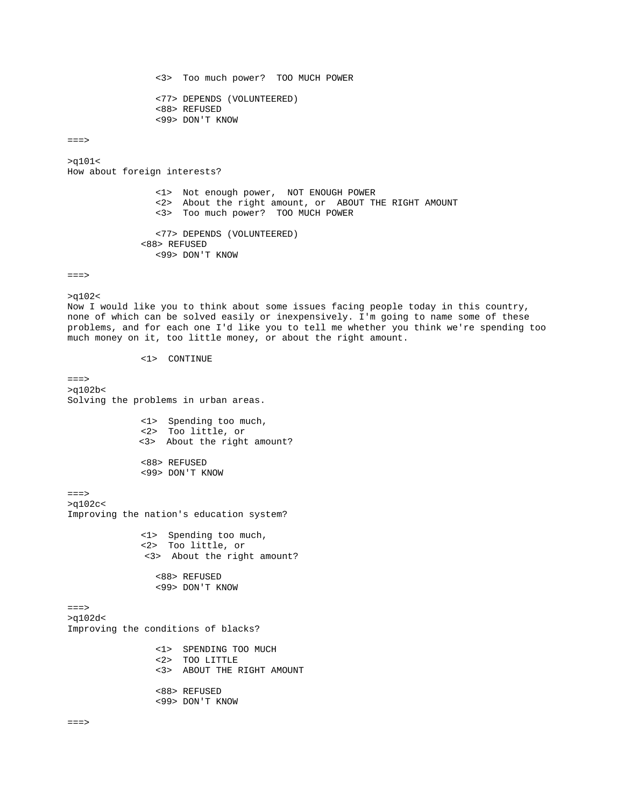<3> Too much power? TOO MUCH POWER <77> DEPENDS (VOLUNTEERED) <88> REFUSED <99> DON'T KNOW

 $==->$ 

>q101< How about foreign interests?

> <1> Not enough power, NOT ENOUGH POWER <2> About the right amount, or ABOUT THE RIGHT AMOUNT <3> Too much power? TOO MUCH POWER <77> DEPENDS (VOLUNTEERED)

 <88> REFUSED <99> DON'T KNOW

===>

>q102< Now I would like you to think about some issues facing people today in this country, none of which can be solved easily or inexpensively. I'm going to name some of these problems, and for each one I'd like you to tell me whether you think we're spending too much money on it, too little money, or about the right amount.

<1> CONTINUE

 $==->$ >q102b< Solving the problems in urban areas. <1> Spending too much, <2> Too little, or <3> About the right amount? <88> REFUSED <99> DON'T KNOW ===> >q102c< Improving the nation's education system? <1> Spending too much, <2> Too little, or <3> About the right amount? <88> REFUSED <99> DON'T KNOW ===> >q102d< Improving the conditions of blacks? <1> SPENDING TOO MUCH <2> TOO LITTLE <3> ABOUT THE RIGHT AMOUNT <88> REFUSED <99> DON'T KNOW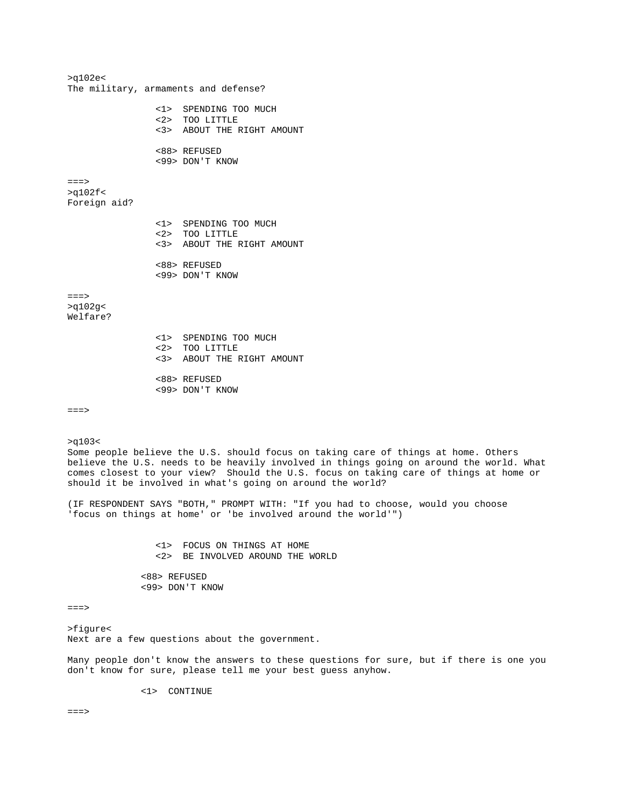>q102e< The military, armaments and defense? <1> SPENDING TOO MUCH <2> TOO LITTLE <3> ABOUT THE RIGHT AMOUNT <88> REFUSED <99> DON'T KNOW  $=$ = $\geq$ >q102f< Foreign aid? <1> SPENDING TOO MUCH <2> TOO LITTLE <3> ABOUT THE RIGHT AMOUNT <88> REFUSED <99> DON'T KNOW  $==->$ >q102g< Welfare? <1> SPENDING TOO MUCH <2> TOO LITTLE <3> ABOUT THE RIGHT AMOUNT <88> REFUSED <99> DON'T KNOW  $=$  $=$  $>$ >q103< Some people believe the U.S. should focus on taking care of things at home. Others believe the U.S. needs to be heavily involved in things going on around the world. What comes closest to your view? Should the U.S. focus on taking care of things at home or should it be involved in what's going on around the world? (IF RESPONDENT SAYS "BOTH," PROMPT WITH: "If you had to choose, would you choose 'focus on things at home' or 'be involved around the world'") <1> FOCUS ON THINGS AT HOME <2> BE INVOLVED AROUND THE WORLD <88> REFUSED <99> DON'T KNOW ===> >figure< Next are a few questions about the government. Many people don't know the answers to these questions for sure, but if there is one you don't know for sure, please tell me your best guess anyhow. <1> CONTINUE  $=$  $=$  $>$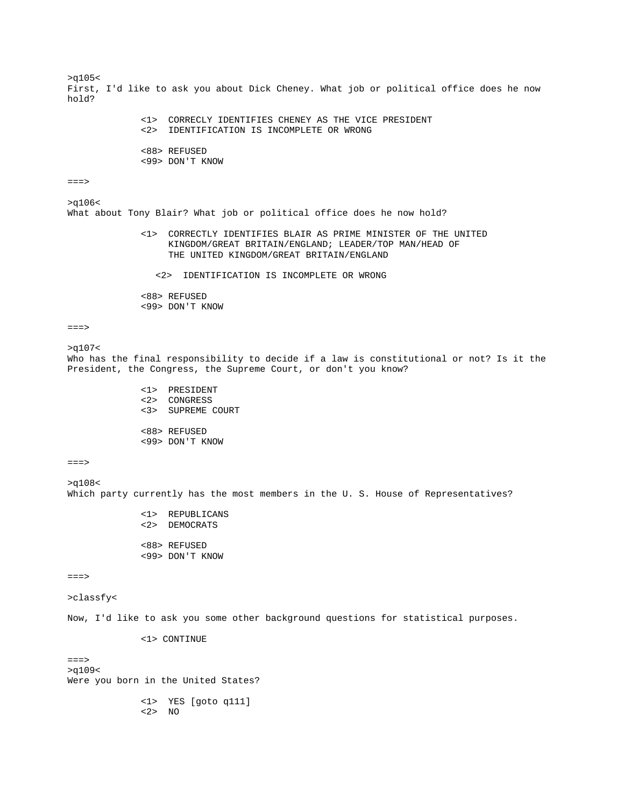>q105< First, I'd like to ask you about Dick Cheney. What job or political office does he now hold? <1> CORRECLY IDENTIFIES CHENEY AS THE VICE PRESIDENT <2> IDENTIFICATION IS INCOMPLETE OR WRONG <88> REFUSED <99> DON'T KNOW  $==->$ >q106< What about Tony Blair? What job or political office does he now hold? <1> CORRECTLY IDENTIFIES BLAIR AS PRIME MINISTER OF THE UNITED KINGDOM/GREAT BRITAIN/ENGLAND; LEADER/TOP MAN/HEAD OF THE UNITED KINGDOM/GREAT BRITAIN/ENGLAND <2> IDENTIFICATION IS INCOMPLETE OR WRONG <88> REFUSED <99> DON'T KNOW  $=$  $=$  $>$ >q107< Who has the final responsibility to decide if a law is constitutional or not? Is it the President, the Congress, the Supreme Court, or don't you know? <1> PRESIDENT <2> CONGRESS <3> SUPREME COURT <88> REFUSED <99> DON'T KNOW  $==->$ >q108< Which party currently has the most members in the U. S. House of Representatives? <1> REPUBLICANS <2> DEMOCRATS <88> REFUSED <99> DON'T KNOW  $==->$ >classfy< Now, I'd like to ask you some other background questions for statistical purposes. <1> CONTINUE

 $=$  $=$  $>$ >q109< Were you born in the United States?

 <1> YES [goto q111] <2> NO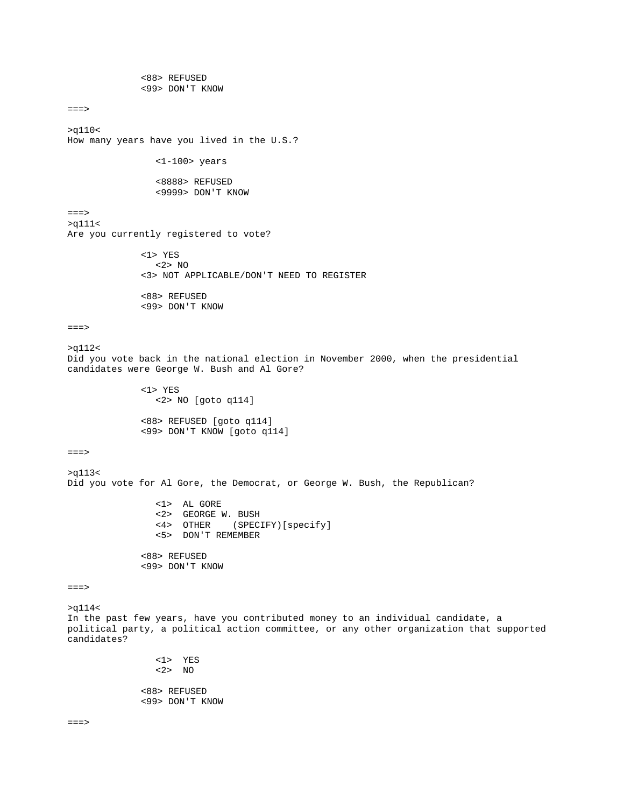```
 <88> REFUSED 
               <99> DON'T KNOW 
==->>q110< 
How many years have you lived in the U.S.? 
                  <1-100> years 
                  <8888> REFUSED 
                  <9999> DON'T KNOW 
===> 
>q111< 
Are you currently registered to vote? 
               <1> YES 
                  <2> NO 
               <3> NOT APPLICABLE/DON'T NEED TO REGISTER 
               <88> REFUSED 
               <99> DON'T KNOW 
==>>q112< 
Did you vote back in the national election in November 2000, when the presidential 
candidates were George W. Bush and Al Gore? 
               <1> YES 
                  <2> NO [goto q114] 
               <88> REFUSED [goto q114] 
               <99> DON'T KNOW [goto q114] 
===> 
>q113< 
Did you vote for Al Gore, the Democrat, or George W. Bush, the Republican? 
                  <1> AL GORE 
                  <2> GEORGE W. BUSH 
                  <4> OTHER (SPECIFY)[specify] 
                  <5> DON'T REMEMBER 
               <88> REFUSED 
               <99> DON'T KNOW 
==->>q114< 
In the past few years, have you contributed money to an individual candidate, a 
political party, a political action committee, or any other organization that supported 
candidates? 
                  <1> YES 
                  <2> NO 
               <88> REFUSED 
               <99> DON'T KNOW
```
 $==->$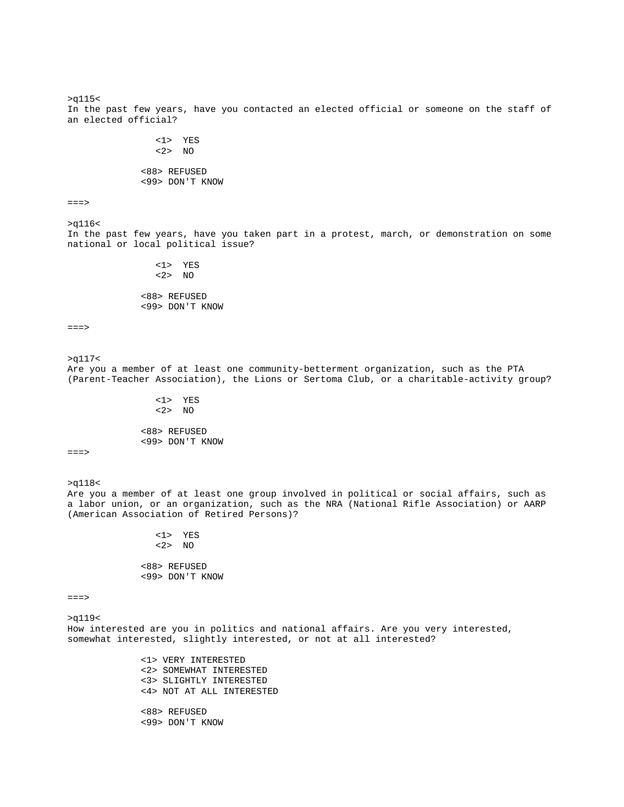>q115< In the past few years, have you contacted an elected official or someone on the staff of an elected official? <1> YES  $<2>NO$  <88> REFUSED <99> DON'T KNOW  $=$  $=$  $>$ >q116< In the past few years, have you taken part in a protest, march, or demonstration on some national or local political issue? <1> YES <2> NO <88> REFUSED <99> DON'T KNOW  $=$  $=$  $>$ >q117< Are you a member of at least one community-betterment organization, such as the PTA (Parent-Teacher Association), the Lions or Sertoma Club, or a charitable-activity group? <1> YES <2> NO <88> REFUSED <99> DON'T KNOW ===> >q118< Are you a member of at least one group involved in political or social affairs, such as a labor union, or an organization, such as the NRA (National Rifle Association) or AARP (American Association of Retired Persons)? <1> YES <2> NO <88> REFUSED <99> DON'T KNOW ===> >q119< How interested are you in politics and national affairs. Are you very interested, somewhat interested, slightly interested, or not at all interested? <1> VERY INTERESTED <2> SOMEWHAT INTERESTED <3> SLIGHTLY INTERESTED <4> NOT AT ALL INTERESTED <88> REFUSED

<99> DON'T KNOW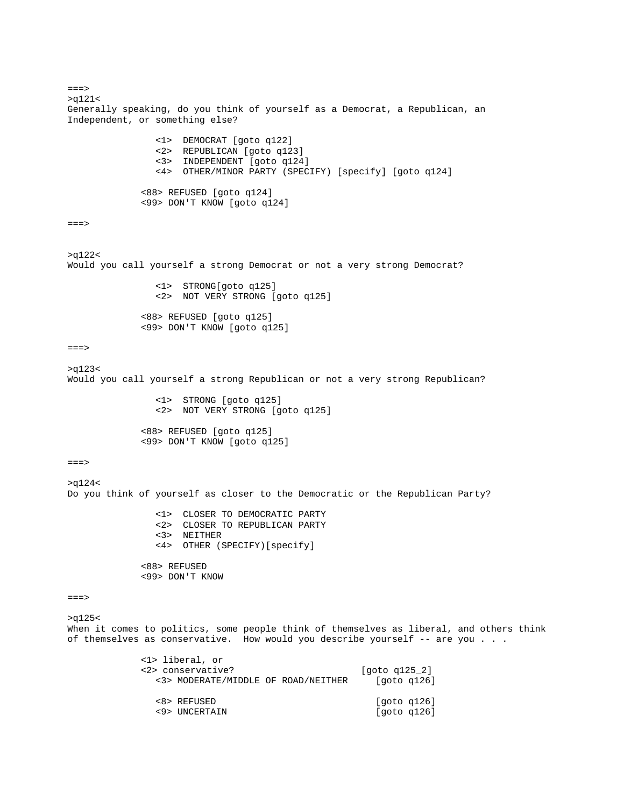$==->$ >q121< Generally speaking, do you think of yourself as a Democrat, a Republican, an Independent, or something else? <1> DEMOCRAT [goto q122] <2> REPUBLICAN [goto q123] <3> INDEPENDENT [goto q124] <4> OTHER/MINOR PARTY (SPECIFY) [specify] [goto q124] <88> REFUSED [goto q124] <99> DON'T KNOW [goto q124]  $==->$ >q122< Would you call yourself a strong Democrat or not a very strong Democrat? <1> STRONG[goto q125] <2> NOT VERY STRONG [goto q125] <88> REFUSED [goto q125] <99> DON'T KNOW [goto q125]  $==->$ >q123< Would you call yourself a strong Republican or not a very strong Republican? <1> STRONG [goto q125] <2> NOT VERY STRONG [goto q125] <88> REFUSED [goto q125] <99> DON'T KNOW [goto q125]  $==->$ >q124< Do you think of yourself as closer to the Democratic or the Republican Party? <1> CLOSER TO DEMOCRATIC PARTY <2> CLOSER TO REPUBLICAN PARTY <3> NEITHER <4> OTHER (SPECIFY)[specify] <88> REFUSED <99> DON'T KNOW ===> >q125< When it comes to politics, some people think of themselves as liberal, and others think of themselves as conservative. How would you describe yourself -- are you . . . <1> liberal, or <2> conservative? [goto q125\_2] <3> MODERATE/MIDDLE OF ROAD/NEITHER [goto q126] <8> REFUSED [goto q126] <9> UNCERTAIN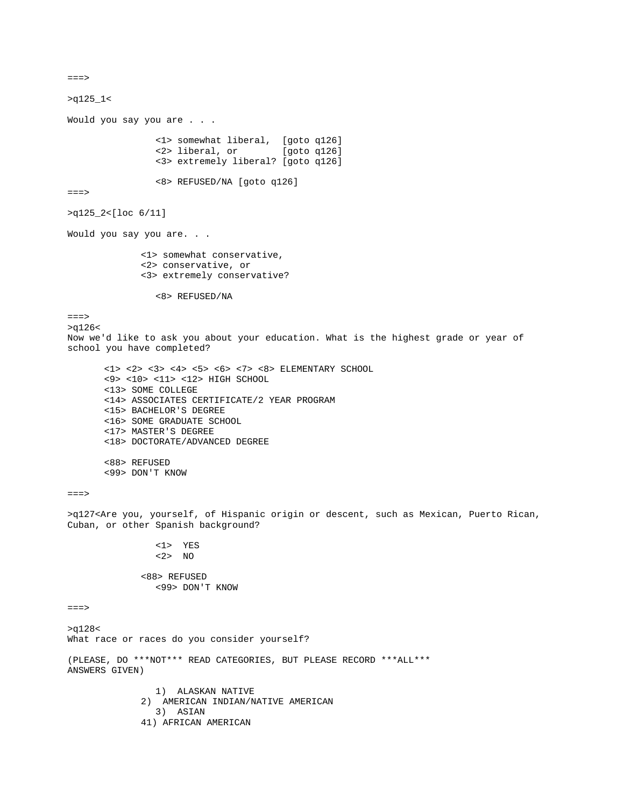===> >q125\_1< Would you say you are . . . <1> somewhat liberal, [goto q126]  $\langle 2 \rangle$  liberal, or <3> extremely liberal? [goto q126] <8> REFUSED/NA [goto q126]  $===>$ >q125\_2<[loc 6/11] Would you say you are. . . <1> somewhat conservative, <2> conservative, or <3> extremely conservative? <8> REFUSED/NA  $==->$ >q126< Now we'd like to ask you about your education. What is the highest grade or year of school you have completed? <1> <2> <3> <4> <5> <6> <7> <8> ELEMENTARY SCHOOL <9> <10> <11> <12> HIGH SCHOOL <13> SOME COLLEGE <14> ASSOCIATES CERTIFICATE/2 YEAR PROGRAM <15> BACHELOR'S DEGREE <16> SOME GRADUATE SCHOOL <17> MASTER'S DEGREE <18> DOCTORATE/ADVANCED DEGREE <88> REFUSED <99> DON'T KNOW  $==->$ >q127<Are you, yourself, of Hispanic origin or descent, such as Mexican, Puerto Rican, Cuban, or other Spanish background? <1> YES <2> NO <88> REFUSED <99> DON'T KNOW ===> >q128< What race or races do you consider yourself? (PLEASE, DO \*\*\*NOT\*\*\* READ CATEGORIES, BUT PLEASE RECORD \*\*\*ALL\*\*\* ANSWERS GIVEN) 1) ALASKAN NATIVE 2) AMERICAN INDIAN/NATIVE AMERICAN 3) ASIAN 41) AFRICAN AMERICAN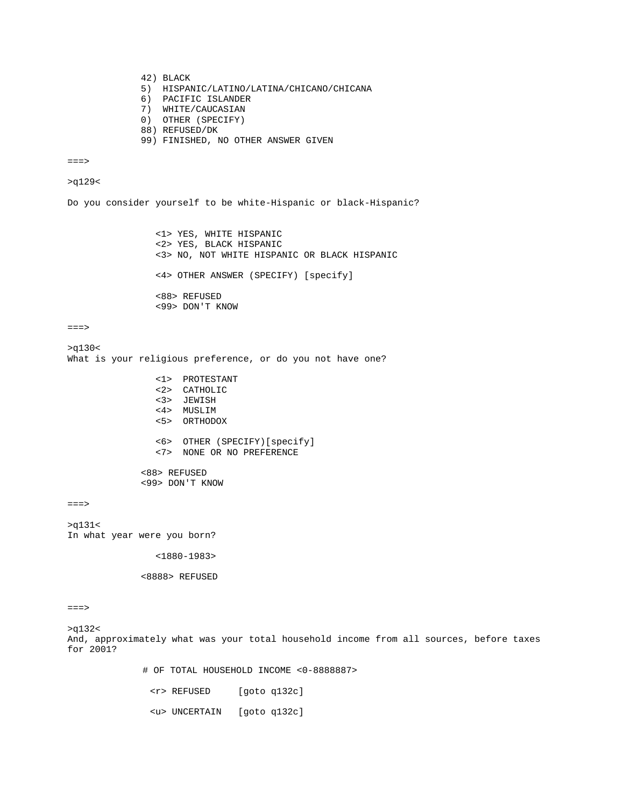42) BLACK

- 5) HISPANIC/LATINO/LATINA/CHICANO/CHICANA
- 6) PACIFIC ISLANDER
- 7) WHITE/CAUCASIAN
- 0) OTHER (SPECIFY)
- 88) REFUSED/DK
- 99) FINISHED, NO OTHER ANSWER GIVEN

 $=$  $=$  $>$ 

## >q129<

Do you consider yourself to be white-Hispanic or black-Hispanic?

 <1> YES, WHITE HISPANIC <2> YES, BLACK HISPANIC <3> NO, NOT WHITE HISPANIC OR BLACK HISPANIC <4> OTHER ANSWER (SPECIFY) [specify] <88> REFUSED <99> DON'T KNOW

#### $==->$

>q130< What is your religious preference, or do you not have one? <1> PROTESTANT <2> CATHOLIC <3> JEWISH <4> MUSLIM <5> ORTHODOX <6> OTHER (SPECIFY)[specify] <7> NONE OR NO PREFERENCE <88> REFUSED <99> DON'T KNOW

```
===>
```
>q131< In what year were you born?

```
 <1880-1983>
```
<8888> REFUSED

## ===>

>q132< And, approximately what was your total household income from all sources, before taxes for 2001?

# OF TOTAL HOUSEHOLD INCOME <0-8888887>

<r> REFUSED [goto q132c]

<u> UNCERTAIN [goto q132c]